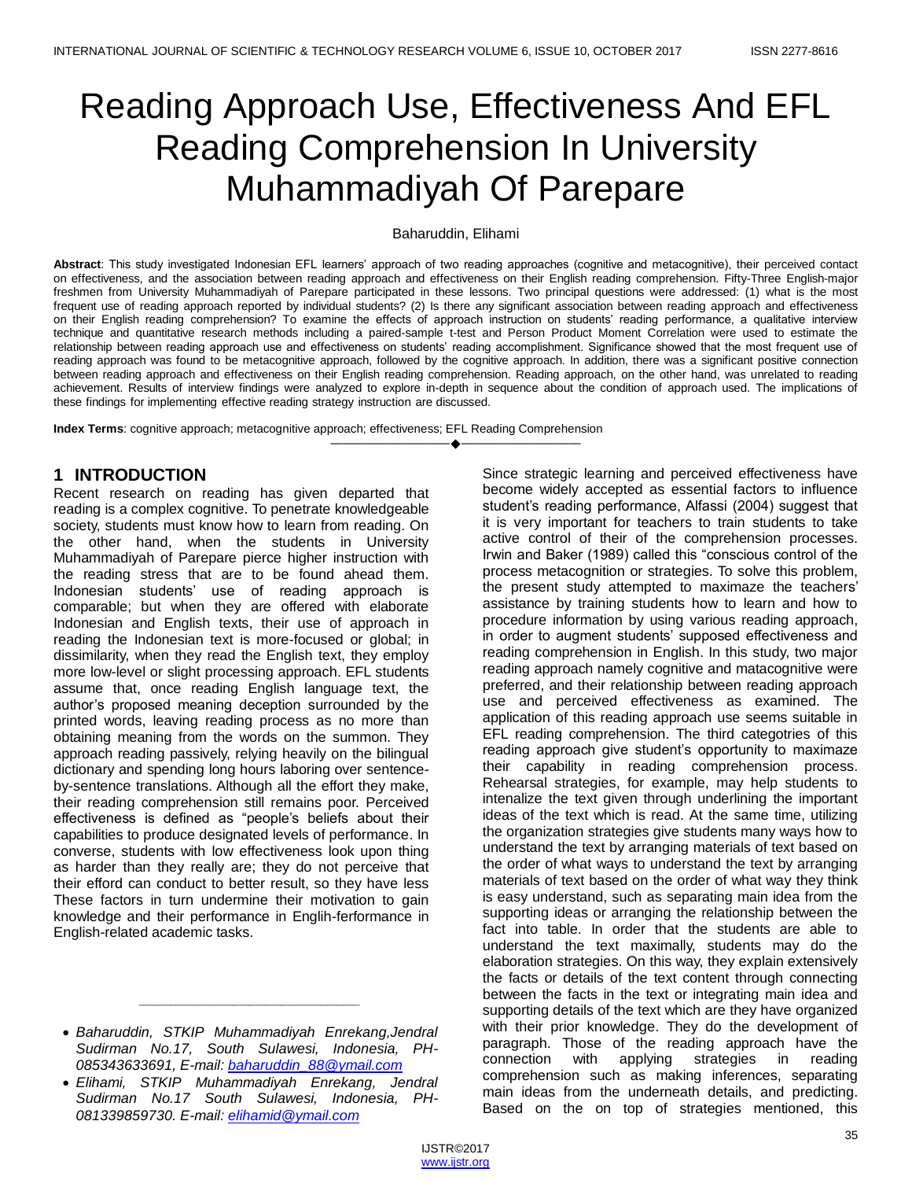# Reading Approach Use, Effectiveness And EFL Reading Comprehension In University Muhammadiyah Of Parepare

#### Baharuddin, Elihami

Abstract: This study investigated Indonesian EFL learners' approach of two reading approaches (cognitive and metacognitive), their perceived contact on effectiveness, and the association between reading approach and effectiveness on their English reading comprehension. Fifty-Three English-major freshmen from University Muhammadiyah of Parepare participated in these lessons. Two principal questions were addressed: (1) what is the most frequent use of reading approach reported by individual students? (2) Is there any significant association between reading approach and effectiveness on their English reading comprehension? To examine the effects of approach instruction on students" reading performance, a qualitative interview technique and quantitative research methods including a paired-sample t-test and Person Product Moment Correlation were used to estimate the relationship between reading approach use and effectiveness on students" reading accomplishment. Significance showed that the most frequent use of reading approach was found to be metacognitive approach, followed by the cognitive approach. In addition, there was a significant positive connection between reading approach and effectiveness on their English reading comprehension. Reading approach, on the other hand, was unrelated to reading achievement. Results of interview findings were analyzed to explore in-depth in sequence about the condition of approach used. The implications of these findings for implementing effective reading strategy instruction are discussed.

————————————————————

**Index Terms**: cognitive approach; metacognitive approach; effectiveness; EFL Reading Comprehension

### **1 INTRODUCTION**

Recent research on reading has given departed that reading is a complex cognitive. To penetrate knowledgeable society, students must know how to learn from reading. On the other hand, when the students in University Muhammadiyah of Parepare pierce higher instruction with the reading stress that are to be found ahead them. Indonesian students" use of reading approach is comparable; but when they are offered with elaborate Indonesian and English texts, their use of approach in reading the Indonesian text is more-focused or global; in dissimilarity, when they read the English text, they employ more low-level or slight processing approach. EFL students assume that, once reading English language text, the author"s proposed meaning deception surrounded by the printed words, leaving reading process as no more than obtaining meaning from the words on the summon. They approach reading passively, relying heavily on the bilingual dictionary and spending long hours laboring over sentenceby-sentence translations. Although all the effort they make, their reading comprehension still remains poor. Perceived effectiveness is defined as "people's beliefs about their capabilities to produce designated levels of performance. In converse, students with low effectiveness look upon thing as harder than they really are; they do not perceive that their efford can conduct to better result, so they have less These factors in turn undermine their motivation to gain knowledge and their performance in Englih-ferformance in English-related academic tasks.

*\_\_\_\_\_\_\_\_\_\_\_\_\_\_\_\_\_\_\_\_\_\_\_\_\_\_\_\_*

Since strategic learning and perceived effectiveness have become widely accepted as essential factors to influence student"s reading performance, Alfassi (2004) suggest that it is very important for teachers to train students to take active control of their of the comprehension processes. Irwin and Baker (1989) called this "conscious control of the process metacognition or strategies. To solve this problem, the present study attempted to maximaze the teachers' assistance by training students how to learn and how to procedure information by using various reading approach, in order to augment students" supposed effectiveness and reading comprehension in English. In this study, two major reading approach namely cognitive and matacognitive were preferred, and their relationship between reading approach use and perceived effectiveness as examined. The application of this reading approach use seems suitable in EFL reading comprehension. The third categotries of this reading approach give student"s opportunity to maximaze their capability in reading comprehension process. Rehearsal strategies, for example, may help students to intenalize the text given through underlining the important ideas of the text which is read. At the same time, utilizing the organization strategies give students many ways how to understand the text by arranging materials of text based on the order of what ways to understand the text by arranging materials of text based on the order of what way they think is easy understand, such as separating main idea from the supporting ideas or arranging the relationship between the fact into table. In order that the students are able to understand the text maximally, students may do the elaboration strategies. On this way, they explain extensively the facts or details of the text content through connecting between the facts in the text or integrating main idea and supporting details of the text which are they have organized with their prior knowledge. They do the development of paragraph. Those of the reading approach have the connection with applying strategies in reading comprehension such as making inferences, separating main ideas from the underneath details, and predicting. Based on the on top of strategies mentioned, this

*Baharuddin, STKIP Muhammadiyah Enrekang,Jendral Sudirman No.17, South Sulawesi, Indonesia, PH-085343633691, E-mail[: baharuddin\\_88@ymail.com](mailto:baharuddin_88@ymail.com)*

*Elihami, STKIP Muhammadiyah Enrekang, Jendral Sudirman No.17 South Sulawesi, Indonesia, PH-081339859730. E-mail[: elihamid@ymail.com](mailto:elihamid@ymail.com)*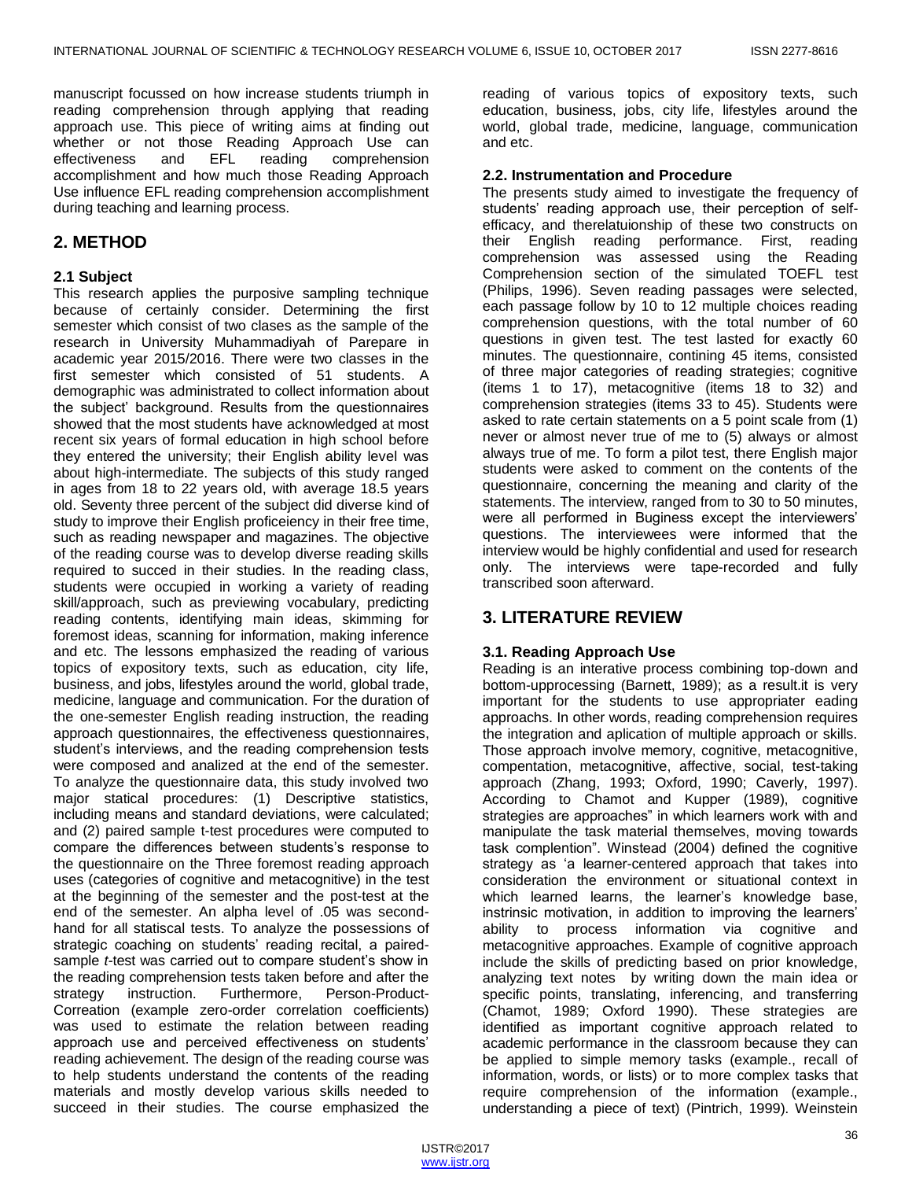manuscript focussed on how increase students triumph in reading comprehension through applying that reading approach use. This piece of writing aims at finding out whether or not those Reading Approach Use can effectiveness and EFL reading comprehension accomplishment and how much those Reading Approach Use influence EFL reading comprehension accomplishment during teaching and learning process.

# **2. METHOD**

#### **2.1 Subject**

This research applies the purposive sampling technique because of certainly consider. Determining the first semester which consist of two clases as the sample of the research in University Muhammadiyah of Parepare in academic year 2015/2016. There were two classes in the first semester which consisted of 51 students. A demographic was administrated to collect information about the subject" background. Results from the questionnaires showed that the most students have acknowledged at most recent six years of formal education in high school before they entered the university; their English ability level was about high-intermediate. The subjects of this study ranged in ages from 18 to 22 years old, with average 18.5 years old. Seventy three percent of the subject did diverse kind of study to improve their English proficeiency in their free time, such as reading newspaper and magazines. The objective of the reading course was to develop diverse reading skills required to succed in their studies. In the reading class, students were occupied in working a variety of reading skill/approach, such as previewing vocabulary, predicting reading contents, identifying main ideas, skimming for foremost ideas, scanning for information, making inference and etc. The lessons emphasized the reading of various topics of expository texts, such as education, city life, business, and jobs, lifestyles around the world, global trade, medicine, language and communication. For the duration of the one-semester English reading instruction, the reading approach questionnaires, the effectiveness questionnaires, student"s interviews, and the reading comprehension tests were composed and analized at the end of the semester. To analyze the questionnaire data, this study involved two major statical procedures: (1) Descriptive statistics, including means and standard deviations, were calculated; and (2) paired sample t-test procedures were computed to compare the differences between students"s response to the questionnaire on the Three foremost reading approach uses (categories of cognitive and metacognitive) in the test at the beginning of the semester and the post-test at the end of the semester. An alpha level of .05 was secondhand for all statiscal tests. To analyze the possessions of strategic coaching on students' reading recital, a pairedsample *t*-test was carried out to compare student's show in the reading comprehension tests taken before and after the strategy instruction. Furthermore, Person-Product-Correation (example zero-order correlation coefficients) was used to estimate the relation between reading approach use and perceived effectiveness on students" reading achievement. The design of the reading course was to help students understand the contents of the reading materials and mostly develop various skills needed to succeed in their studies. The course emphasized the

reading of various topics of expository texts, such education, business, jobs, city life, lifestyles around the world, global trade, medicine, language, communication and etc.

#### **2.2. Instrumentation and Procedure**

The presents study aimed to investigate the frequency of students' reading approach use, their perception of selfefficacy, and therelatuionship of these two constructs on their English reading performance. First, reading comprehension was assessed using the Reading Comprehension section of the simulated TOEFL test (Philips, 1996). Seven reading passages were selected, each passage follow by 10 to 12 multiple choices reading comprehension questions, with the total number of 60 questions in given test. The test lasted for exactly 60 minutes. The questionnaire, contining 45 items, consisted of three major categories of reading strategies; cognitive (items 1 to 17), metacognitive (items 18 to 32) and comprehension strategies (items 33 to 45). Students were asked to rate certain statements on a 5 point scale from (1) never or almost never true of me to (5) always or almost always true of me. To form a pilot test, there English major students were asked to comment on the contents of the questionnaire, concerning the meaning and clarity of the statements. The interview, ranged from to 30 to 50 minutes, were all performed in Buginess except the interviewers' questions. The interviewees were informed that the interview would be highly confidential and used for research only. The interviews were tape-recorded and fully transcribed soon afterward.

# **3. LITERATURE REVIEW**

## **3.1. Reading Approach Use**

Reading is an interative process combining top-down and bottom-upprocessing (Barnett, 1989); as a result.it is very important for the students to use appropriater eading approachs. In other words, reading comprehension requires the integration and aplication of multiple approach or skills. Those approach involve memory, cognitive, metacognitive, compentation, metacognitive, affective, social, test-taking approach (Zhang, 1993; Oxford, 1990; Caverly, 1997). According to Chamot and Kupper (1989), cognitive strategies are approaches" in which learners work with and manipulate the task material themselves, moving towards task complention". Winstead (2004) defined the cognitive strategy as "a learner-centered approach that takes into consideration the environment or situational context in which learned learns, the learner's knowledge base, instrinsic motivation, in addition to improving the learners' ability to process information via cognitive and metacognitive approaches. Example of cognitive approach include the skills of predicting based on prior knowledge, analyzing text notes by writing down the main idea or specific points, translating, inferencing, and transferring (Chamot, 1989; Oxford 1990). These strategies are identified as important cognitive approach related to academic performance in the classroom because they can be applied to simple memory tasks (example., recall of information, words, or lists) or to more complex tasks that require comprehension of the information (example., understanding a piece of text) (Pintrich, 1999). Weinstein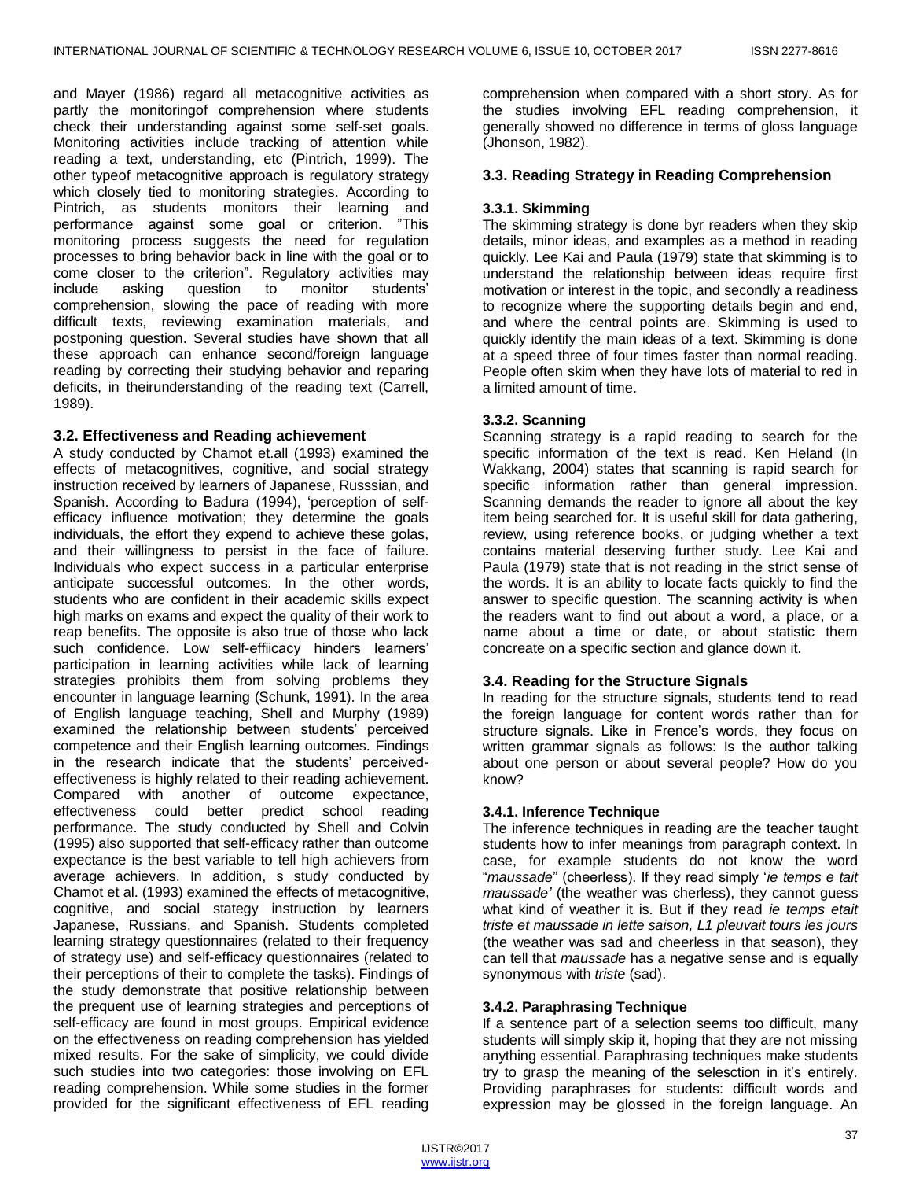and Mayer (1986) regard all metacognitive activities as partly the monitoringof comprehension where students check their understanding against some self-set goals. Monitoring activities include tracking of attention while reading a text, understanding, etc (Pintrich, 1999). The other typeof metacognitive approach is regulatory strategy which closely tied to monitoring strategies. According to Pintrich, as students monitors their learning and performance against some goal or criterion. "This monitoring process suggests the need for regulation processes to bring behavior back in line with the goal or to come closer to the criterion". Regulatory activities may include asking question to monitor students" comprehension, slowing the pace of reading with more difficult texts, reviewing examination materials, and postponing question. Several studies have shown that all these approach can enhance second/foreign language reading by correcting their studying behavior and reparing deficits, in theirunderstanding of the reading text (Carrell, 1989).

#### **3.2. Effectiveness and Reading achievement**

A study conducted by Chamot et.all (1993) examined the effects of metacognitives, cognitive, and social strategy instruction received by learners of Japanese, Russsian, and Spanish. According to Badura (1994), "perception of selfefficacy influence motivation; they determine the goals individuals, the effort they expend to achieve these golas, and their willingness to persist in the face of failure. Individuals who expect success in a particular enterprise anticipate successful outcomes. In the other words, students who are confident in their academic skills expect high marks on exams and expect the quality of their work to reap benefits. The opposite is also true of those who lack such confidence. Low self-effiicacy hinders learners' participation in learning activities while lack of learning strategies prohibits them from solving problems they encounter in language learning (Schunk, 1991). In the area of English language teaching, Shell and Murphy (1989) examined the relationship between students' perceived competence and their English learning outcomes. Findings in the research indicate that the students' perceivedeffectiveness is highly related to their reading achievement. Compared with another of outcome expectance, effectiveness could better predict school reading performance. The study conducted by Shell and Colvin (1995) also supported that self-efficacy rather than outcome expectance is the best variable to tell high achievers from average achievers. In addition, s study conducted by Chamot et al. (1993) examined the effects of metacognitive, cognitive, and social stategy instruction by learners Japanese, Russians, and Spanish. Students completed learning strategy questionnaires (related to their frequency of strategy use) and self-efficacy questionnaires (related to their perceptions of their to complete the tasks). Findings of the study demonstrate that positive relationship between the prequent use of learning strategies and perceptions of self-efficacy are found in most groups. Empirical evidence on the effectiveness on reading comprehension has yielded mixed results. For the sake of simplicity, we could divide such studies into two categories: those involving on EFL reading comprehension. While some studies in the former provided for the significant effectiveness of EFL reading

comprehension when compared with a short story. As for the studies involving EFL reading comprehension, it generally showed no difference in terms of gloss language (Jhonson, 1982).

#### **3.3. Reading Strategy in Reading Comprehension**

#### **3.3.1. Skimming**

The skimming strategy is done byr readers when they skip details, minor ideas, and examples as a method in reading quickly. Lee Kai and Paula (1979) state that skimming is to understand the relationship between ideas require first motivation or interest in the topic, and secondly a readiness to recognize where the supporting details begin and end, and where the central points are. Skimming is used to quickly identify the main ideas of a text. Skimming is done at a speed three of four times faster than normal reading. People often skim when they have lots of material to red in a limited amount of time.

#### **3.3.2. Scanning**

Scanning strategy is a rapid reading to search for the specific information of the text is read. Ken Heland (In Wakkang, 2004) states that scanning is rapid search for specific information rather than general impression. Scanning demands the reader to ignore all about the key item being searched for. It is useful skill for data gathering, review, using reference books, or judging whether a text contains material deserving further study. Lee Kai and Paula (1979) state that is not reading in the strict sense of the words. It is an ability to locate facts quickly to find the answer to specific question. The scanning activity is when the readers want to find out about a word, a place, or a name about a time or date, or about statistic them concreate on a specific section and glance down it.

#### **3.4. Reading for the Structure Signals**

In reading for the structure signals, students tend to read the foreign language for content words rather than for structure signals. Like in Frence's words, they focus on written grammar signals as follows: Is the author talking about one person or about several people? How do you know?

#### **3.4.1. Inference Technique**

The inference techniques in reading are the teacher taught students how to infer meanings from paragraph context. In case, for example students do not know the word "*maussade*" (cheerless). If they read simply "*ie temps e tait maussade'* (the weather was cherless), they cannot guess what kind of weather it is. But if they read *ie temps etait triste et maussade in lette saison, L1 pleuvait tours les jours*  (the weather was sad and cheerless in that season), they can tell that *maussade* has a negative sense and is equally synonymous with *triste* (sad).

#### **3.4.2. Paraphrasing Technique**

If a sentence part of a selection seems too difficult, many students will simply skip it, hoping that they are not missing anything essential. Paraphrasing techniques make students try to grasp the meaning of the selesction in it"s entirely. Providing paraphrases for students: difficult words and expression may be glossed in the foreign language. An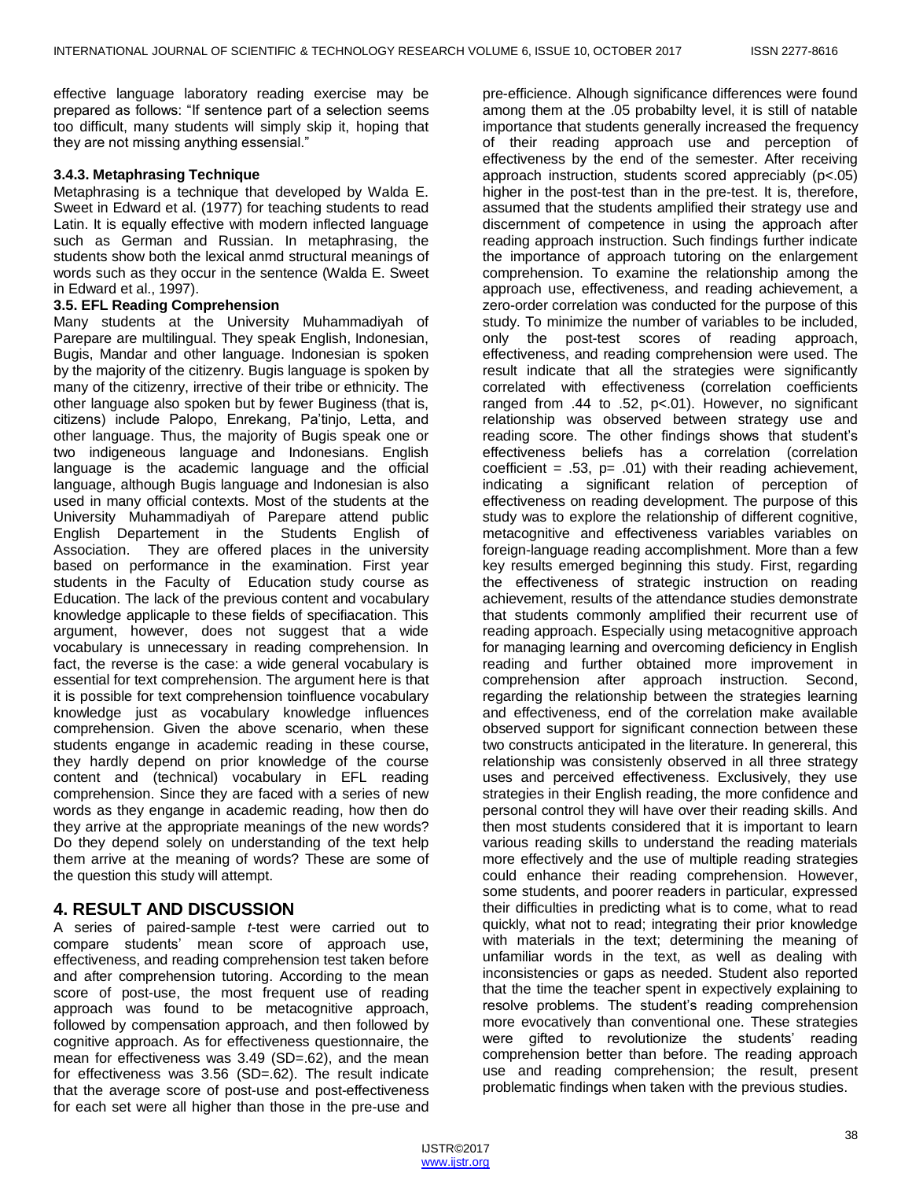effective language laboratory reading exercise may be prepared as follows: "If sentence part of a selection seems too difficult, many students will simply skip it, hoping that they are not missing anything essensial."

#### **3.4.3. Metaphrasing Technique**

Metaphrasing is a technique that developed by Walda E. Sweet in Edward et al. (1977) for teaching students to read Latin. It is equally effective with modern inflected language such as German and Russian. In metaphrasing, the students show both the lexical anmd structural meanings of words such as they occur in the sentence (Walda E. Sweet in Edward et al., 1997).

#### **3.5. EFL Reading Comprehension**

Many students at the University Muhammadiyah of Parepare are multilingual. They speak English, Indonesian, Bugis, Mandar and other language. Indonesian is spoken by the majority of the citizenry. Bugis language is spoken by many of the citizenry, irrective of their tribe or ethnicity. The other language also spoken but by fewer Buginess (that is, citizens) include Palopo, Enrekang, Pa"tinjo, Letta, and other language. Thus, the majority of Bugis speak one or two indigeneous language and Indonesians. English language is the academic language and the official language, although Bugis language and Indonesian is also used in many official contexts. Most of the students at the University Muhammadiyah of Parepare attend public English Departement in the Students English of Association. They are offered places in the university based on performance in the examination. First year students in the Faculty of Education study course as Education. The lack of the previous content and vocabulary knowledge applicaple to these fields of specifiacation. This argument, however, does not suggest that a wide vocabulary is unnecessary in reading comprehension. In fact, the reverse is the case: a wide general vocabulary is essential for text comprehension. The argument here is that it is possible for text comprehension toinfluence vocabulary knowledge just as vocabulary knowledge influences comprehension. Given the above scenario, when these students engange in academic reading in these course, they hardly depend on prior knowledge of the course content and (technical) vocabulary in EFL reading comprehension. Since they are faced with a series of new words as they engange in academic reading, how then do they arrive at the appropriate meanings of the new words? Do they depend solely on understanding of the text help them arrive at the meaning of words? These are some of the question this study will attempt.

## **4. RESULT AND DISCUSSION**

A series of paired-sample *t*-test were carried out to compare students" mean score of approach use, effectiveness, and reading comprehension test taken before and after comprehension tutoring. According to the mean score of post-use, the most frequent use of reading approach was found to be metacognitive approach, followed by compensation approach, and then followed by cognitive approach. As for effectiveness questionnaire, the mean for effectiveness was 3.49 (SD=.62), and the mean for effectiveness was 3.56 (SD=.62). The result indicate that the average score of post-use and post-effectiveness for each set were all higher than those in the pre-use and

pre-efficience. Alhough significance differences were found among them at the .05 probabilty level, it is still of natable importance that students generally increased the frequency of their reading approach use and perception of effectiveness by the end of the semester. After receiving approach instruction, students scored appreciably (p<.05) higher in the post-test than in the pre-test. It is, therefore, assumed that the students amplified their strategy use and discernment of competence in using the approach after reading approach instruction. Such findings further indicate the importance of approach tutoring on the enlargement comprehension. To examine the relationship among the approach use, effectiveness, and reading achievement, a zero-order correlation was conducted for the purpose of this study. To minimize the number of variables to be included, only the post-test scores of reading approach, effectiveness, and reading comprehension were used. The result indicate that all the strategies were significantly correlated with effectiveness (correlation coefficients ranged from .44 to .52, p<.01). However, no significant relationship was observed between strategy use and reading score. The other findings shows that student"s effectiveness beliefs has a correlation (correlation coefficient =  $.53$ , p=  $.01$ ) with their reading achievement, indicating a significant relation of perception of effectiveness on reading development. The purpose of this study was to explore the relationship of different cognitive, metacognitive and effectiveness variables variables on foreign-language reading accomplishment. More than a few key results emerged beginning this study. First, regarding the effectiveness of strategic instruction on reading achievement, results of the attendance studies demonstrate that students commonly amplified their recurrent use of reading approach. Especially using metacognitive approach for managing learning and overcoming deficiency in English reading and further obtained more improvement in comprehension after approach instruction. Second, regarding the relationship between the strategies learning and effectiveness, end of the correlation make available observed support for significant connection between these two constructs anticipated in the literature. In genereral, this relationship was consistenly observed in all three strategy uses and perceived effectiveness. Exclusively, they use strategies in their English reading, the more confidence and personal control they will have over their reading skills. And then most students considered that it is important to learn various reading skills to understand the reading materials more effectively and the use of multiple reading strategies could enhance their reading comprehension. However, some students, and poorer readers in particular, expressed their difficulties in predicting what is to come, what to read quickly, what not to read; integrating their prior knowledge with materials in the text; determining the meaning of unfamiliar words in the text, as well as dealing with inconsistencies or gaps as needed. Student also reported that the time the teacher spent in expectively explaining to resolve problems. The student"s reading comprehension more evocatively than conventional one. These strategies were gifted to revolutionize the students' reading comprehension better than before. The reading approach use and reading comprehension; the result, present problematic findings when taken with the previous studies.